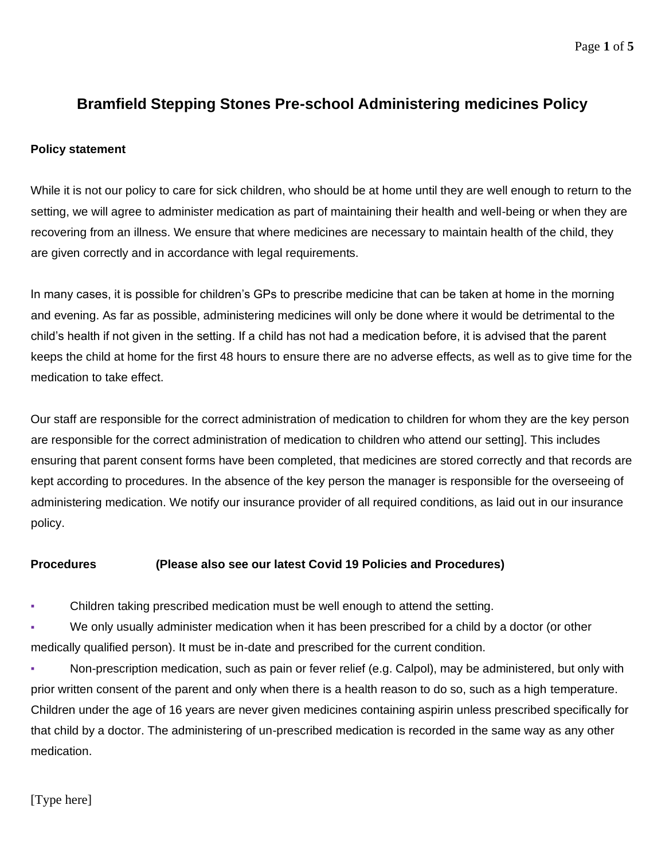# **Bramfield Stepping Stones Pre-school Administering medicines Policy**

### **Policy statement**

While it is not our policy to care for sick children, who should be at home until they are well enough to return to the setting, we will agree to administer medication as part of maintaining their health and well-being or when they are recovering from an illness. We ensure that where medicines are necessary to maintain health of the child, they are given correctly and in accordance with legal requirements.

In many cases, it is possible for children's GPs to prescribe medicine that can be taken at home in the morning and evening. As far as possible, administering medicines will only be done where it would be detrimental to the child's health if not given in the setting. If a child has not had a medication before, it is advised that the parent keeps the child at home for the first 48 hours to ensure there are no adverse effects, as well as to give time for the medication to take effect.

Our staff are responsible for the correct administration of medication to children for whom they are the key person are responsible for the correct administration of medication to children who attend our setting]. This includes ensuring that parent consent forms have been completed, that medicines are stored correctly and that records are kept according to procedures. In the absence of the key person the manager is responsible for the overseeing of administering medication. We notify our insurance provider of all required conditions, as laid out in our insurance policy.

### **Procedures (Please also see our latest Covid 19 Policies and Procedures)**

Children taking prescribed medication must be well enough to attend the setting.

We only usually administer medication when it has been prescribed for a child by a doctor (or other medically qualified person). It must be in-date and prescribed for the current condition.

Non-prescription medication, such as pain or fever relief (e.g. Calpol), may be administered, but only with prior written consent of the parent and only when there is a health reason to do so, such as a high temperature. Children under the age of 16 years are never given medicines containing aspirin unless prescribed specifically for that child by a doctor. The administering of un-prescribed medication is recorded in the same way as any other medication.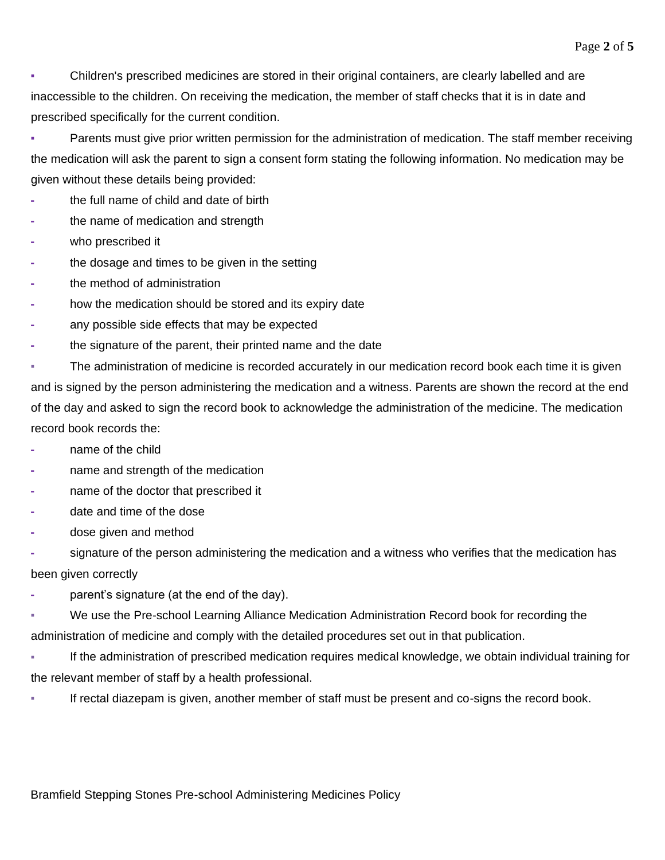▪ Children's prescribed medicines are stored in their original containers, are clearly labelled and are inaccessible to the children. On receiving the medication, the member of staff checks that it is in date and prescribed specifically for the current condition.

**▪** Parents must give prior written permission for the administration of medication. The staff member receiving the medication will ask the parent to sign a consent form stating the following information. No medication may be given without these details being provided:

- **-** the full name of child and date of birth
- **-** the name of medication and strength
- **-** who prescribed it
- **-** the dosage and times to be given in the setting
- **-** the method of administration
- **-** how the medication should be stored and its expiry date
- **-** any possible side effects that may be expected
- **-** the signature of the parent, their printed name and the date

The administration of medicine is recorded accurately in our medication record book each time it is given and is signed by the person administering the medication and a witness. Parents are shown the record at the end of the day and asked to sign the record book to acknowledge the administration of the medicine. The medication record book records the:

- **-** name of the child
- **-** name and strength of the medication
- **-** name of the doctor that prescribed it
- **-** date and time of the dose
- **-** dose given and method
- **-** signature of the person administering the medication and a witness who verifies that the medication has been given correctly
- **-** parent's signature (at the end of the day).
- We use the Pre-school Learning Alliance Medication Administration Record book for recording the administration of medicine and comply with the detailed procedures set out in that publication.
- If the administration of prescribed medication requires medical knowledge, we obtain individual training for the relevant member of staff by a health professional.
- If rectal diazepam is given, another member of staff must be present and co-signs the record book.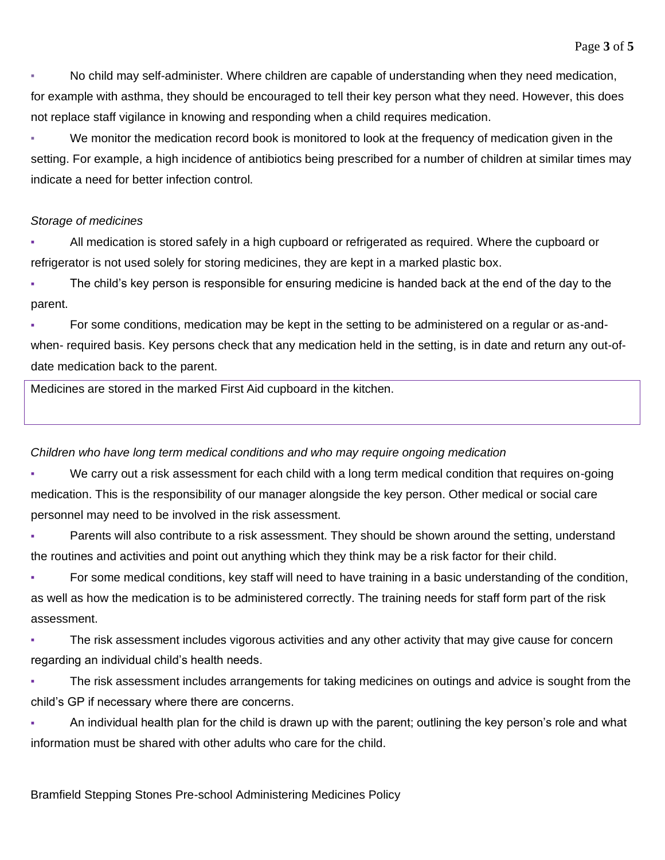No child may self-administer. Where children are capable of understanding when they need medication, for example with asthma, they should be encouraged to tell their key person what they need. However, this does not replace staff vigilance in knowing and responding when a child requires medication.

We monitor the medication record book is monitored to look at the frequency of medication given in the setting. For example, a high incidence of antibiotics being prescribed for a number of children at similar times may indicate a need for better infection control.

## *Storage of medicines*

All medication is stored safely in a high cupboard or refrigerated as required. Where the cupboard or refrigerator is not used solely for storing medicines, they are kept in a marked plastic box.

The child's key person is responsible for ensuring medicine is handed back at the end of the day to the parent.

▪ For some conditions, medication may be kept in the setting to be administered on a regular or as-andwhen- required basis. Key persons check that any medication held in the setting, is in date and return any out-ofdate medication back to the parent.

Medicines are stored in the marked First Aid cupboard in the kitchen.

## *Children who have long term medical conditions and who may require ongoing medication*

We carry out a risk assessment for each child with a long term medical condition that requires on-going medication. This is the responsibility of our manager alongside the key person. Other medical or social care personnel may need to be involved in the risk assessment.

Parents will also contribute to a risk assessment. They should be shown around the setting, understand the routines and activities and point out anything which they think may be a risk factor for their child.

For some medical conditions, key staff will need to have training in a basic understanding of the condition, as well as how the medication is to be administered correctly. The training needs for staff form part of the risk assessment.

The risk assessment includes vigorous activities and any other activity that may give cause for concern regarding an individual child's health needs.

The risk assessment includes arrangements for taking medicines on outings and advice is sought from the child's GP if necessary where there are concerns.

An individual health plan for the child is drawn up with the parent; outlining the key person's role and what information must be shared with other adults who care for the child.

Bramfield Stepping Stones Pre-school Administering Medicines Policy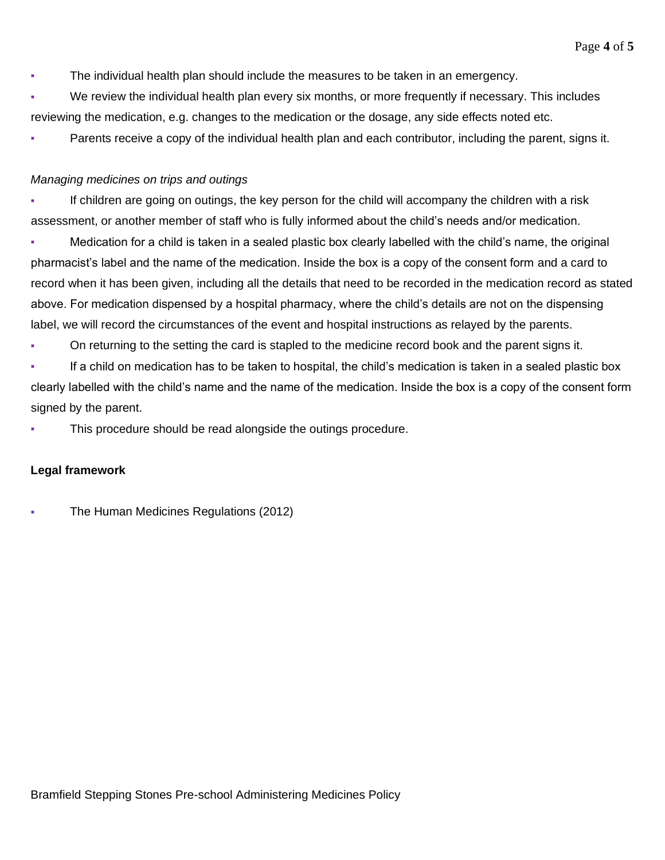▪ The individual health plan should include the measures to be taken in an emergency.

We review the individual health plan every six months, or more frequently if necessary. This includes reviewing the medication, e.g. changes to the medication or the dosage, any side effects noted etc.

Parents receive a copy of the individual health plan and each contributor, including the parent, signs it.

## *Managing medicines on trips and outings*

▪ If children are going on outings, the key person for the child will accompany the children with a risk assessment, or another member of staff who is fully informed about the child's needs and/or medication.

▪ Medication for a child is taken in a sealed plastic box clearly labelled with the child's name, the original pharmacist's label and the name of the medication. Inside the box is a copy of the consent form and a card to record when it has been given, including all the details that need to be recorded in the medication record as stated above. For medication dispensed by a hospital pharmacy, where the child's details are not on the dispensing label, we will record the circumstances of the event and hospital instructions as relayed by the parents.

On returning to the setting the card is stapled to the medicine record book and the parent signs it.

▪ If a child on medication has to be taken to hospital, the child's medication is taken in a sealed plastic box clearly labelled with the child's name and the name of the medication. Inside the box is a copy of the consent form signed by the parent.

This procedure should be read alongside the outings procedure.

### **Legal framework**

**• The Human Medicines Regulations (2012)**